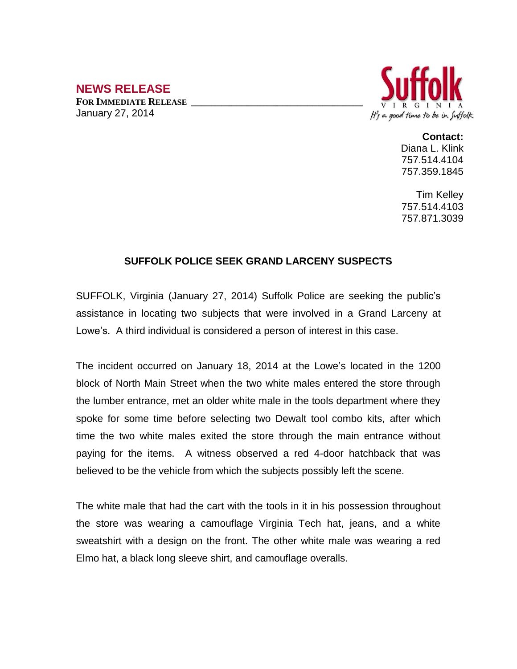## **NEWS RELEASE**

**FOR IMMEDIATE RELEASE \_\_\_\_\_\_\_\_\_\_\_\_\_\_\_\_\_\_\_\_\_\_\_\_\_\_\_\_\_\_\_\_\_\_** January 27, 2014



## **Contact:**

Diana L. Klink 757.514.4104 757.359.1845

Tim Kelley 757.514.4103 757.871.3039

## **SUFFOLK POLICE SEEK GRAND LARCENY SUSPECTS**

SUFFOLK, Virginia (January 27, 2014) Suffolk Police are seeking the public's assistance in locating two subjects that were involved in a Grand Larceny at Lowe's. A third individual is considered a person of interest in this case.

The incident occurred on January 18, 2014 at the Lowe's located in the 1200 block of North Main Street when the two white males entered the store through the lumber entrance, met an older white male in the tools department where they spoke for some time before selecting two Dewalt tool combo kits, after which time the two white males exited the store through the main entrance without paying for the items. A witness observed a red 4-door hatchback that was believed to be the vehicle from which the subjects possibly left the scene.

The white male that had the cart with the tools in it in his possession throughout the store was wearing a camouflage Virginia Tech hat, jeans, and a white sweatshirt with a design on the front. The other white male was wearing a red Elmo hat, a black long sleeve shirt, and camouflage overalls.